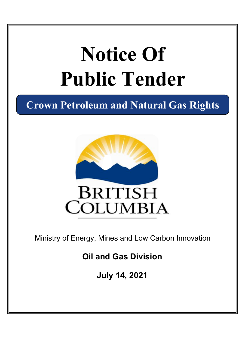# **Notice Of Public Tender**

**Crown Petroleum and Natural Gas Rights**



Ministry of Energy, Mines and Low Carbon Innovation

**Oil and Gas Division**

**July 14, 2021**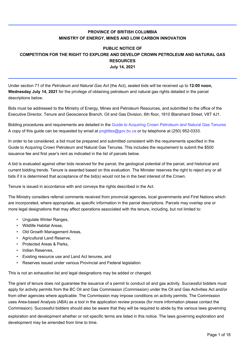## **PROVINCE OF BRITISH COLUMBIA MINISTRY OF ENERGY, MINES AND LOW CARBON INNOVATION**

## **PUBLIC NOTICE OF COMPETITION FOR THE RIGHT TO EXPLORE AND DEVELOP CROWN PETROLEUM AND NATURAL GAS RESOURCES July 14, 2021**

Under section 71 of the *Petroleum and Natural Gas Act* (the Act), sealed bids will be received up to **12:00 noon, Wednesday July 14, 2021** for the privilege of obtaining petroleum and natural gas rights detailed in the parcel descriptions below.

Bids must be addressed to the Ministry of Energy, Mines and Petroleum Resources, and submitted to the office of the Executive Director, Tenure and Geoscience Branch, Oil and Gas Division, 6th floor, 1810 Blanshard Street, V8T 4J1.

Bidding procedures and requirements are detailed in the [Guide to Acquiring Crown Petroleum and Natural Gas Tenures](https://www2.gov.bc.ca/assets/gov/farming-natural-resources-and-industry/natural-gas-oil/png-crown-sale/publications/biddinganddispositionguide.pdf) A copy of this guide can be requested by email at<pngtitles@gov.bc.ca> or by telephone at (250) 952-0333.

In order to be considered, a bid must be prepared and submitted consistent with the requirements specified in the Guide to Acquiring Crown Petroleum and Natural Gas Tenures. This includes the requirement to submit the \$500 issuance fee and first year's rent as indicated in the list of parcels below.

A bid is evaluated against other bids received for the parcel, the geological potential of the parcel, and historical and current bidding trends. Tenure is awarded based on this evaluation. The Minister reserves the right to reject any or all bids if it is determined that acceptance of the bid(s) would not be in the best interest of the Crown.

Tenure is issued in accordance with and conveys the rights described in the Act.

The Ministry considers referral comments received from provincial agencies, local governments and First Nations which are incorporated, where appropriate, as specific information in the parcel descriptions. Parcels may overlap one or more legal designations that may affect operations associated with the tenure, including, but not limited to:

- Ungulate Winter Ranges,
- Wildlife Habitat Areas,
- Old Growth Management Areas,
- Agricultural Land Reserve,
- Protected Areas & Parks,
- Indian Reserves,
- Existing resource use and Land Act tenures, and
- Reserves issued under various Provincial and Federal legislation.

This is not an exhaustive list and legal designations may be added or changed.

The grant of tenure does not guarantee the issuance of a permit to conduct oil and gas activity. Successful bidders must apply for activity permits from the BC Oil and Gas Commission (Commission) under the Oil and Gas Activities Act and/or from other agencies where applicable. The Commission may impose conditions on activity permits. The Commission uses Area-based Analysis (ABA) as a tool in the application review process (for more information please contact the Commission). Successful bidders should also be aware that they will be required to abide by the various laws governing

exploration and development whether or not specific terms are listed in this notice. The laws governing exploration and development may be amended from time to time.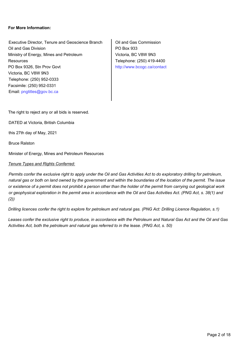#### **For More Information:**

Executive Director, Tenure and Geoscience Branch | Oil and Gas Commission Oil and Gas Division Ministry of Energy, Mines and Petroleum **Resources** PO Box 9326, Stn Prov Govt Victoria, BC V8W 9N3 Telephone: (250) 952-0333 Email: <pngtitles@gov.bc.ca> Facsimile: (250) 952-0331

PO Box 933 Victoria, BC V8W 9N3 Telephone: (250) 419-4400 [http://www.bcogc.ca/contact](http://www.bcogc.ca/contact )

The right to reject any or all bids is reserved.

DATED at Victoria, British Columbia

this 27th day of May, 2021

Bruce Ralston

Minister of Energy, Mines and Petroleum Resources

#### *Tenure Types and Rights Conferred:*

*Permits confer the exclusive right to apply under the Oil and Gas Activities Act to do exploratory drilling for petroleum, natural gas or both on land owned by the government and within the boundaries of the location of the permit. The issue or existence of a permit does not prohibit a person other than the holder of the permit from carrying out geological work or geophysical exploration in the permit area in accordance with the Oil and Gas Activities Act. (PNG Act, s. 38(1) and (2))*

*Drilling licences confer the right to explore for petroleum and natural gas. (PNG Act: Drilling Licence Regulation, s.1)*

*Leases confer the exclusive right to produce, in accordance with the Petroleum and Natural Gas Act and the Oil and Gas Activities Act, both the petroleum and natural gas referred to in the lease. (PNG Act, s. 50)*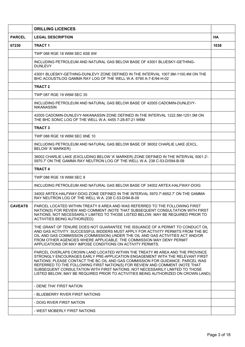|                | <b>DRILLING LICENCES</b>                                                                                                                                                                                                                                                                                                                                                                                                                                                                             |           |
|----------------|------------------------------------------------------------------------------------------------------------------------------------------------------------------------------------------------------------------------------------------------------------------------------------------------------------------------------------------------------------------------------------------------------------------------------------------------------------------------------------------------------|-----------|
| <b>PARCEL</b>  | <b>LEGAL DESCRIPTION</b>                                                                                                                                                                                                                                                                                                                                                                                                                                                                             | <b>HA</b> |
| 67230          | <b>TRACT 1</b>                                                                                                                                                                                                                                                                                                                                                                                                                                                                                       | 1038      |
|                | TWP 088 RGE 18 W6M SEC 6SE 6W                                                                                                                                                                                                                                                                                                                                                                                                                                                                        |           |
|                | INCLUDING PETROLEUM AND NATURAL GAS BELOW BASE OF 43001 BLUESKY-GETHING-<br><b>DUNLEVY</b>                                                                                                                                                                                                                                                                                                                                                                                                           |           |
|                | 43001 BLUESKY-GETHING-DUNLEVY ZONE DEFINED IN THE INTERVAL 1007.9M-1100.4M ON THE<br>BHC ACOUSTILOG GAMMA RAY LOG OF THE WELL W.A. 6790 A-7-E/94-H-02                                                                                                                                                                                                                                                                                                                                                |           |
|                | <b>TRACT 2</b>                                                                                                                                                                                                                                                                                                                                                                                                                                                                                       |           |
|                | TWP 087 RGE 19 W6M SEC 35                                                                                                                                                                                                                                                                                                                                                                                                                                                                            |           |
|                | INCLUDING PETROLEUM AND NATURAL GAS BELOW BASE OF 42005 CADOMIN-DUNLEVY-<br><b>NIKANASSIN</b>                                                                                                                                                                                                                                                                                                                                                                                                        |           |
|                | 42005 CADOMIN-DUNLEVY-NIKANASSIN ZONE DEFINED IN THE INTERVAL 1222.5M-1251.5M ON<br>THE BHC SONIC LOG OF THE WELL W.A. 4455 7-28-87-21 W6M                                                                                                                                                                                                                                                                                                                                                           |           |
|                | <b>TRACT 3</b>                                                                                                                                                                                                                                                                                                                                                                                                                                                                                       |           |
|                | TWP 088 RGE 18 W6M SEC 6NE 10                                                                                                                                                                                                                                                                                                                                                                                                                                                                        |           |
|                | INCLUDING PETROLEUM AND NATURAL GAS BELOW BASE OF 36002 CHARLIE LAKE (EXCL.<br>BELOW 'A' MARKER)                                                                                                                                                                                                                                                                                                                                                                                                     |           |
|                | 36002 CHARLIE LAKE (EXCLUDING BELOW 'A' MARKER) ZONE DEFINED IN THE INTERVAL 5001.2'-<br>5970.7' ON THE GAMMA RAY NEUTRON LOG OF THE WELL W.A. 238 C-53-D/094-B-09                                                                                                                                                                                                                                                                                                                                   |           |
|                | <b>TRACT 4</b>                                                                                                                                                                                                                                                                                                                                                                                                                                                                                       |           |
|                | TWP 088 RGE 18 W6M SEC 8                                                                                                                                                                                                                                                                                                                                                                                                                                                                             |           |
|                | INCLUDING PETROLEUM AND NATURAL GAS BELOW BASE OF 34002 ARTEX-HALFWAY-DOIG                                                                                                                                                                                                                                                                                                                                                                                                                           |           |
|                | 34002 ARTEX-HALFWAY-DOIG ZONE DEFINED IN THE INTERVAL 5970.7'-6952.7' ON THE GAMMA<br>RAY NEUTRON LOG OF THE WELL W.A. 238 C-53-D/94-B-09                                                                                                                                                                                                                                                                                                                                                            |           |
| <b>CAVEATS</b> | PARCEL LOCATED WITHIN TREATY 8 AREA AND WAS REFERRED TO THE FOLLOWING FIRST<br>NATION(S) FOR REVIEW AND COMMENT (NOTE THAT SUBSEQUENT CONSULTATION WITH FIRST<br>NATIONS, NOT NECESSARILY LIMITED TO THOSE LISTED BELOW, MAY BE REQUIRED PRIOR TO<br>ACTIVITIES BEING AUTHORIZED):                                                                                                                                                                                                                   |           |
|                | THE GRANT OF TENURE DOES NOT GUARANTEE THE ISSUANCE OF A PERMIT TO CONDUCT OIL<br>AND GAS ACTIVITY. SUCCESSFUL BIDDERS MUST APPLY FOR ACTIVITY PERMITS FROM THE BC<br>OIL AND GAS COMMISSION (COMMISSION) UNDER THE OIL AND GAS ACTIVITIES ACT AND/OR<br>FROM OTHER AGENCIES WHERE APPLICABLE. THE COMMISSION MAY DENY PERMIT<br>APPLICATIONS OR MAY IMPOSE CONDITIONS ON ACTIVITY PERMITS.                                                                                                          |           |
|                | PARCEL OVERLAPS CROWN LAND LOCATED WITHIN THE TREATY #8 AREA AND THE PROVINCE<br>STRONGLY ENCOURAGES EARLY PRE-APPLICATION ENGAGEMENT WITH THE RELEVANT FIRST<br>NATIONS; PLEASE CONTACT THE BC OIL AND GAS COMMISSION FOR GUIDANCE. PARCEL WAS<br>REFERRED TO THE FOLLOWING FIRST NATION(S) FOR REVIEW AND COMMENT (NOTE THAT<br>SUBSEQUENT CONSULTATION WITH FIRST NATIONS, NOT NECESSARILY LIMITED TO THOSE<br>LISTED BELOW, MAY BE REQUIRED PRIOR TO ACTIVITIES BEING AUTHORIZED ON CROWN LAND): |           |
|                | - DENE THA' FIRST NATION                                                                                                                                                                                                                                                                                                                                                                                                                                                                             |           |
|                | - BLUEBERRY RIVER FIRST NATIONS                                                                                                                                                                                                                                                                                                                                                                                                                                                                      |           |
|                | - DOIG RIVER FIRST NATION                                                                                                                                                                                                                                                                                                                                                                                                                                                                            |           |
|                | - WEST MOBERLY FIRST NATIONS                                                                                                                                                                                                                                                                                                                                                                                                                                                                         |           |
|                |                                                                                                                                                                                                                                                                                                                                                                                                                                                                                                      |           |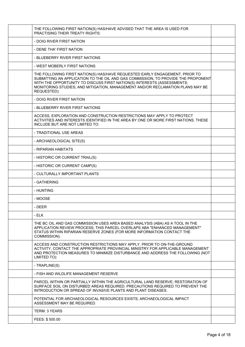| THE FOLLOWING FIRST NATION(S) HAS/HAVE ADVISED THAT THE AREA IS USED FOR<br><b>PRACTISING THEIR TREATY RIGHTS:</b>                                                                                                                                                                                                                           |  |
|----------------------------------------------------------------------------------------------------------------------------------------------------------------------------------------------------------------------------------------------------------------------------------------------------------------------------------------------|--|
| - DOIG RIVER FIRST NATION                                                                                                                                                                                                                                                                                                                    |  |
| - DENE THA' FIRST NATION                                                                                                                                                                                                                                                                                                                     |  |
| - BLUEBERRY RIVER FIRST NATIONS                                                                                                                                                                                                                                                                                                              |  |
| - WEST MOBERLY FIRST NATIONS                                                                                                                                                                                                                                                                                                                 |  |
| THE FOLLOWING FIRST NATION(S) HAS/HAVE REQUESTED EARLY ENGAGEMENT, PRIOR TO<br>SUBMITTING AN APPLICATION TO THE OIL AND GAS COMMISSION, TO PROVIDE THE PROPONENT<br>WITH THE OPPORTUNITY TO DISCUSS FIRST NATION(S) INTERESTS (ASSESSMENTS;<br>MONITORING STUDIES; AND MITIGATION, MANAGEMENT AND/OR RECLAMATION PLANS MAY BE<br>REQUESTED): |  |
| - DOIG RIVER FIRST NATION                                                                                                                                                                                                                                                                                                                    |  |
| - BLUEBERRY RIVER FIRST NATIONS                                                                                                                                                                                                                                                                                                              |  |
| ACCESS, EXPLORATION AND CONSTRUCTION RESTRICTIONS MAY APPLY TO PROTECT<br>ACTIVITIES AND INTERESTS IDENTIFIED IN THE AREA BY ONE OR MORE FIRST NATIONS. THESE<br>INCLUDE BUT ARE NOT LIMITED TO:                                                                                                                                             |  |
| - TRADITIONAL USE AREAS                                                                                                                                                                                                                                                                                                                      |  |
| - ARCHAEOLOGICAL SITE(S)                                                                                                                                                                                                                                                                                                                     |  |
| - RIPARIAN HABITATS                                                                                                                                                                                                                                                                                                                          |  |
| - HISTORIC OR CURRENT TRAIL(S)                                                                                                                                                                                                                                                                                                               |  |
| - HISTORIC OR CURRENT CAMP(S)                                                                                                                                                                                                                                                                                                                |  |
| - CULTURALLY IMPORTANT PLANTS                                                                                                                                                                                                                                                                                                                |  |
| - GATHERING                                                                                                                                                                                                                                                                                                                                  |  |
| - HUNTING                                                                                                                                                                                                                                                                                                                                    |  |
| - MOOSE                                                                                                                                                                                                                                                                                                                                      |  |
| - DEER                                                                                                                                                                                                                                                                                                                                       |  |
| - ELK                                                                                                                                                                                                                                                                                                                                        |  |
| THE BC OIL AND GAS COMMISSION USES AREA BASED ANALYSIS (ABA) AS A TOOL IN THE<br>APPLICATION REVIEW PROCESS; THIS PARCEL OVERLAPS ABA "ENHANCED MANAGEMENT"<br>STATUS WITHIN RIPARIAN RESERVE ZONES (FOR MORE INFORMATION CONTACT THE<br>COMMISSION).                                                                                        |  |
| ACCESS AND CONSTRUCTION RESTRICTIONS MAY APPLY. PRIOR TO ON-THE-GROUND<br>ACTIVITY, CONTACT THE APPROPRIATE PROVINCIAL MINISTRY FOR APPLICABLE MANAGEMENT<br>AND PROTECTION MEASURES TO MINIMIZE DISTURBANCE AND ADDRESS THE FOLLOWING (NOT<br>LIMITED TO):                                                                                  |  |
| - TRAPLINE(S)                                                                                                                                                                                                                                                                                                                                |  |
| - FISH AND WILDLIFE MANAGEMENT RESERVE                                                                                                                                                                                                                                                                                                       |  |
| PARCEL WITHIN OR PARTIALLY WITHIN THE AGRICULTURAL LAND RESERVE; RESTORATION OF<br>SURFACE SOIL ON DISTURBED AREAS REQUIRED. PRECAUTIONS REQUIRED TO PREVENT THE<br>INTRODUCTION OR SPREAD OF INVASIVE PLANTS AND PLANT DISEASES.                                                                                                            |  |
| POTENTIAL FOR ARCHAEOLOGICAL RESOURCES EXISTS; ARCHAEOLOGICAL IMPACT<br>ASSESSMENT MAY BE REQUIRED.                                                                                                                                                                                                                                          |  |
| <b>TERM: 3 YEARS</b>                                                                                                                                                                                                                                                                                                                         |  |
| FEES: \$500.00                                                                                                                                                                                                                                                                                                                               |  |
|                                                                                                                                                                                                                                                                                                                                              |  |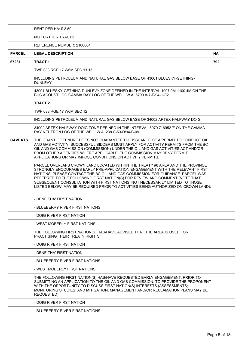|                | <b>RENT PER HA: \$3.50</b>                                                                                                                                                                                                                                                                                                                                                                                                                                                                           |           |
|----------------|------------------------------------------------------------------------------------------------------------------------------------------------------------------------------------------------------------------------------------------------------------------------------------------------------------------------------------------------------------------------------------------------------------------------------------------------------------------------------------------------------|-----------|
|                | NO FURTHER TRACTS                                                                                                                                                                                                                                                                                                                                                                                                                                                                                    |           |
|                | REFERENCE NUMBER: 2106004                                                                                                                                                                                                                                                                                                                                                                                                                                                                            |           |
| <b>PARCEL</b>  | <b>LEGAL DESCRIPTION</b>                                                                                                                                                                                                                                                                                                                                                                                                                                                                             | <b>HA</b> |
| 67231          | <b>TRACT 1</b>                                                                                                                                                                                                                                                                                                                                                                                                                                                                                       | 792       |
|                | TWP 088 RGE 17 W6M SEC 11 15                                                                                                                                                                                                                                                                                                                                                                                                                                                                         |           |
|                | INCLUDING PETROLEUM AND NATURAL GAS BELOW BASE OF 43001 BLUESKY-GETHING-<br><b>DUNLEVY</b>                                                                                                                                                                                                                                                                                                                                                                                                           |           |
|                | 43001 BLUESKY-GETHING-DUNLEVY ZONE DEFINED IN THE INTERVAL 1007.9M-1100.4M ON THE<br>BHC ACOUSTILOG GAMMA RAY LOG OF THE WELL W.A. 6790 A-7-E/94-H-02                                                                                                                                                                                                                                                                                                                                                |           |
|                | <b>TRACT 2</b>                                                                                                                                                                                                                                                                                                                                                                                                                                                                                       |           |
|                | TWP 088 RGE 17 W6M SEC 12                                                                                                                                                                                                                                                                                                                                                                                                                                                                            |           |
|                | INCLUDING PETROLEUM AND NATURAL GAS BELOW BASE OF 34002 ARTEX-HALFWAY-DOIG                                                                                                                                                                                                                                                                                                                                                                                                                           |           |
|                | 34002 ARTEX-HALFWAY-DOIG ZONE DEFINED IN THE INTERVAL 5970.7'-6952.7' ON THE GAMMA<br>RAY NEUTRON LOG OF THE WELL W.A. 238 C-53-D/94-B-09                                                                                                                                                                                                                                                                                                                                                            |           |
| <b>CAVEATS</b> | THE GRANT OF TENURE DOES NOT GUARANTEE THE ISSUANCE OF A PERMIT TO CONDUCT OIL<br>AND GAS ACTIVITY. SUCCESSFUL BIDDERS MUST APPLY FOR ACTIVITY PERMITS FROM THE BC<br>OIL AND GAS COMMISSION (COMMISSION) UNDER THE OIL AND GAS ACTIVITIES ACT AND/OR<br>FROM OTHER AGENCIES WHERE APPLICABLE. THE COMMISSION MAY DENY PERMIT<br>APPLICATIONS OR MAY IMPOSE CONDITIONS ON ACTIVITY PERMITS.                                                                                                          |           |
|                | PARCEL OVERLAPS CROWN LAND LOCATED WITHIN THE TREATY #8 AREA AND THE PROVINCE<br>STRONGLY ENCOURAGES EARLY PRE-APPLICATION ENGAGEMENT WITH THE RELEVANT FIRST<br>NATIONS; PLEASE CONTACT THE BC OIL AND GAS COMMISSION FOR GUIDANCE. PARCEL WAS<br>REFERRED TO THE FOLLOWING FIRST NATION(S) FOR REVIEW AND COMMENT (NOTE THAT<br>SUBSEQUENT CONSULTATION WITH FIRST NATIONS, NOT NECESSARILY LIMITED TO THOSE<br>LISTED BELOW, MAY BE REQUIRED PRIOR TO ACTIVITIES BEING AUTHORIZED ON CROWN LAND): |           |
|                | - DENE THA' FIRST NATION                                                                                                                                                                                                                                                                                                                                                                                                                                                                             |           |
|                | - BLUEBERRY RIVER FIRST NATIONS                                                                                                                                                                                                                                                                                                                                                                                                                                                                      |           |
|                | - DOIG RIVER FIRST NATION                                                                                                                                                                                                                                                                                                                                                                                                                                                                            |           |
|                | - WEST MOBERLY FIRST NATIONS                                                                                                                                                                                                                                                                                                                                                                                                                                                                         |           |
|                | THE FOLLOWING FIRST NATION(S) HAS/HAVE ADVISED THAT THE AREA IS USED FOR<br><b>PRACTISING THEIR TREATY RIGHTS:</b>                                                                                                                                                                                                                                                                                                                                                                                   |           |
|                | - DOIG RIVER FIRST NATION                                                                                                                                                                                                                                                                                                                                                                                                                                                                            |           |
|                | - DENE THA' FIRST NATION                                                                                                                                                                                                                                                                                                                                                                                                                                                                             |           |
|                | - BLUEBERRY RIVER FIRST NATIONS                                                                                                                                                                                                                                                                                                                                                                                                                                                                      |           |
|                | - WEST MOBERLY FIRST NATIONS                                                                                                                                                                                                                                                                                                                                                                                                                                                                         |           |
|                | THE FOLLOWING FIRST NATION(S) HAS/HAVE REQUESTED EARLY ENGAGEMENT, PRIOR TO<br>SUBMITTING AN APPLICATION TO THE OIL AND GAS COMMISSION, TO PROVIDE THE PROPONENT<br>WITH THE OPPORTUNITY TO DISCUSS FIRST NATION(S) INTERESTS (ASSESSMENTS;<br>MONITORING STUDIES; AND MITIGATION, MANAGEMENT AND/OR RECLAMATION PLANS MAY BE<br>REQUESTED):                                                                                                                                                         |           |
|                | - DOIG RIVER FIRST NATION                                                                                                                                                                                                                                                                                                                                                                                                                                                                            |           |
|                | - BLUEBERRY RIVER FIRST NATIONS                                                                                                                                                                                                                                                                                                                                                                                                                                                                      |           |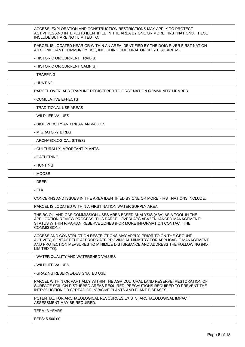| ACCESS, EXPLORATION AND CONSTRUCTION RESTRICTIONS MAY APPLY TO PROTECT<br>ACTIVITIES AND INTERESTS IDENTIFIED IN THE AREA BY ONE OR MORE FIRST NATIONS. THESE<br>INCLUDE BUT ARE NOT LIMITED TO:                                                            |  |
|-------------------------------------------------------------------------------------------------------------------------------------------------------------------------------------------------------------------------------------------------------------|--|
| PARCEL IS LOCATED NEAR OR WITHIN AN AREA IDENTIFIED BY THE DOIG RIVER FIRST NATION<br>AS SIGNIFICANT COMMUNITY USE, INCLUDING CULTURAL OR SPIRITUAL AREAS.                                                                                                  |  |
| - HISTORIC OR CURRENT TRAIL(S)                                                                                                                                                                                                                              |  |
| - HISTORIC OR CURRENT CAMP(S)                                                                                                                                                                                                                               |  |
| - TRAPPING                                                                                                                                                                                                                                                  |  |
| - HUNTING                                                                                                                                                                                                                                                   |  |
| PARCEL OVERLAPS TRAPLINE REGISTERED TO FIRST NATION COMMUNITY MEMBER                                                                                                                                                                                        |  |
| - CUMULATIVE EFFECTS                                                                                                                                                                                                                                        |  |
| - TRADITIONAL USE AREAS                                                                                                                                                                                                                                     |  |
| - WILDLIFE VALUES                                                                                                                                                                                                                                           |  |
| - BIODIVERSITY AND RIPARIAN VALUES                                                                                                                                                                                                                          |  |
| - MIGRATORY BIRDS                                                                                                                                                                                                                                           |  |
| - ARCHAEOLOGICAL SITE(S)                                                                                                                                                                                                                                    |  |
| - CULTURALLY IMPORTANT PLANTS                                                                                                                                                                                                                               |  |
| - GATHERING                                                                                                                                                                                                                                                 |  |
| - HUNTING                                                                                                                                                                                                                                                   |  |
| - MOOSE                                                                                                                                                                                                                                                     |  |
| - DEER                                                                                                                                                                                                                                                      |  |
| - ELK                                                                                                                                                                                                                                                       |  |
| CONCERNS AND ISSUES IN THE AREA IDENTIFIED BY ONE OR MORE FIRST NATIONS INCLUDE:                                                                                                                                                                            |  |
| PARCEL IS LOCATED WITHIN A FIRST NATION WATER SUPPLY AREA.                                                                                                                                                                                                  |  |
| THE BC OIL AND GAS COMMISSION USES AREA BASED ANALYSIS (ABA) AS A TOOL IN THE<br>APPLICATION REVIEW PROCESS; THIS PARCEL OVERLAPS ABA "ENHANCED MANAGEMENT"<br>STATUS WITHIN RIPARIAN RESERVE ZONES (FOR MORE INFORMATION CONTACT THE<br>COMMISSION).       |  |
| ACCESS AND CONSTRUCTION RESTRICTIONS MAY APPLY. PRIOR TO ON-THE-GROUND<br>ACTIVITY, CONTACT THE APPROPRIATE PROVINCIAL MINISTRY FOR APPLICABLE MANAGEMENT<br>AND PROTECTION MEASURES TO MINIMIZE DISTURBANCE AND ADDRESS THE FOLLOWING (NOT<br>LIMITED TO): |  |
| - WATER QUALITY AND WATERSHED VALUES                                                                                                                                                                                                                        |  |
| - WILDLIFE VALUES                                                                                                                                                                                                                                           |  |
| - GRAZING RESERVE/DESIGNATED USE                                                                                                                                                                                                                            |  |
| PARCEL WITHIN OR PARTIALLY WITHIN THE AGRICULTURAL LAND RESERVE; RESTORATION OF<br>SURFACE SOIL ON DISTURBED AREAS REQUIRED. PRECAUTIONS REQUIRED TO PREVENT THE<br>INTRODUCTION OR SPREAD OF INVASIVE PLANTS AND PLANT DISEASES.                           |  |
| POTENTIAL FOR ARCHAEOLOGICAL RESOURCES EXISTS; ARCHAEOLOGICAL IMPACT<br>ASSESSMENT MAY BE REQUIRED.                                                                                                                                                         |  |
| TERM: 3 YEARS                                                                                                                                                                                                                                               |  |
| FEES: \$500.00                                                                                                                                                                                                                                              |  |
|                                                                                                                                                                                                                                                             |  |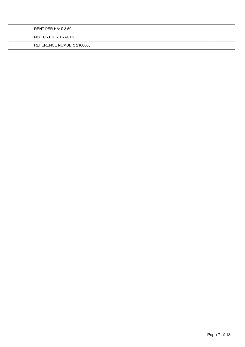| RENT PER HA: \$ 3.50      |  |
|---------------------------|--|
| NO FURTHER TRACTS         |  |
| REFERENCE NUMBER: 2106006 |  |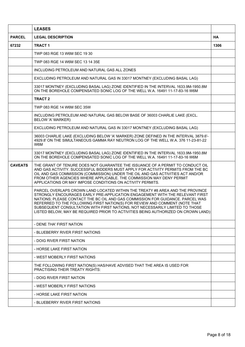|                | <b>LEASES</b>                                                                                                                                                                                                                                                                                                                                                                                                                                                                                        |           |
|----------------|------------------------------------------------------------------------------------------------------------------------------------------------------------------------------------------------------------------------------------------------------------------------------------------------------------------------------------------------------------------------------------------------------------------------------------------------------------------------------------------------------|-----------|
| <b>PARCEL</b>  | <b>LEGAL DESCRIPTION</b>                                                                                                                                                                                                                                                                                                                                                                                                                                                                             | <b>HA</b> |
| 67232          | <b>TRACT 1</b>                                                                                                                                                                                                                                                                                                                                                                                                                                                                                       | 1306      |
|                | TWP 083 RGE 13 W6M SEC 19 30                                                                                                                                                                                                                                                                                                                                                                                                                                                                         |           |
|                | TWP 083 RGE 14 W6M SEC 13 14 35E                                                                                                                                                                                                                                                                                                                                                                                                                                                                     |           |
|                | INCLUDING PETROLEUM AND NATURAL GAS ALL ZONES                                                                                                                                                                                                                                                                                                                                                                                                                                                        |           |
|                | EXCLUDING PETROLEUM AND NATURAL GAS IN 33017 MONTNEY (EXCLUDING BASAL LAG)                                                                                                                                                                                                                                                                                                                                                                                                                           |           |
|                | 33017 MONTNEY (EXCLUDING BASAL LAG) ZONE IDENTIFIED IN THE INTERVAL 1633.9M-1950.8M<br>ON THE BOREHOLE COMPENSATED SONIC LOG OF THE WELL W.A. 16491 11-17-83-16 W6M                                                                                                                                                                                                                                                                                                                                  |           |
|                | <b>TRACT 2</b>                                                                                                                                                                                                                                                                                                                                                                                                                                                                                       |           |
|                | TWP 083 RGE 14 W6M SEC 35W                                                                                                                                                                                                                                                                                                                                                                                                                                                                           |           |
|                | INCLUDING PETROLEUM AND NATURAL GAS BELOW BASE OF 36003 CHARLIE LAKE (EXCL.<br>BELOW 'A' MARKER)                                                                                                                                                                                                                                                                                                                                                                                                     |           |
|                | EXCLUDING PETROLEUM AND NATURAL GAS IN 33017 MONTNEY (EXCLUDING BASAL LAG)                                                                                                                                                                                                                                                                                                                                                                                                                           |           |
|                | 36003 CHARLIE LAKE (EXCLUDING BELOW 'A' MARKER) ZONE DEFINED IN THE INTERVAL 3879.6'-<br>4929.8' ON THE SIMULTANEOUS GAMMA RAY NEUTRON LOG OF THE WELL W.A. 376 11-23-81-22<br>W6M                                                                                                                                                                                                                                                                                                                   |           |
|                | 33017 MONTNEY (EXCLUDING BASAL LAG) ZONE IDENTIFIED IN THE INTERVAL 1633.9M-1950.8M<br>ON THE BOREHOLE COMPENSATED SONIC LOG OF THE WELL W.A. 16491 11-17-83-16 W6M                                                                                                                                                                                                                                                                                                                                  |           |
| <b>CAVEATS</b> | THE GRANT OF TENURE DOES NOT GUARANTEE THE ISSUANCE OF A PERMIT TO CONDUCT OIL<br>AND GAS ACTIVITY. SUCCESSFUL BIDDERS MUST APPLY FOR ACTIVITY PERMITS FROM THE BC<br>OIL AND GAS COMMISSION (COMMISSION) UNDER THE OIL AND GAS ACTIVITIES ACT AND/OR<br>FROM OTHER AGENCIES WHERE APPLICABLE. THE COMMISSION MAY DENY PERMIT<br>APPLICATIONS OR MAY IMPOSE CONDITIONS ON ACTIVITY PERMITS.                                                                                                          |           |
|                | PARCEL OVERLAPS CROWN LAND LOCATED WITHIN THE TREATY #8 AREA AND THE PROVINCE<br>STRONGLY ENCOURAGES EARLY PRE-APPLICATION ENGAGEMENT WITH THE RELEVANT FIRST<br>NATIONS; PLEASE CONTACT THE BC OIL AND GAS COMMISSION FOR GUIDANCE. PARCEL WAS<br>REFERRED TO THE FOLLOWING FIRST NATION(S) FOR REVIEW AND COMMENT (NOTE THAT<br>SUBSEQUENT CONSULTATION WITH FIRST NATIONS, NOT NECESSARILY LIMITED TO THOSE<br>LISTED BELOW, MAY BE REQUIRED PRIOR TO ACTIVITIES BEING AUTHORIZED ON CROWN LAND): |           |
|                | - DENE THA' FIRST NATION                                                                                                                                                                                                                                                                                                                                                                                                                                                                             |           |
|                | - BLUEBERRY RIVER FIRST NATIONS                                                                                                                                                                                                                                                                                                                                                                                                                                                                      |           |
|                | - DOIG RIVER FIRST NATION                                                                                                                                                                                                                                                                                                                                                                                                                                                                            |           |
|                | - HORSE LAKE FIRST NATION                                                                                                                                                                                                                                                                                                                                                                                                                                                                            |           |
|                | - WEST MOBERLY FIRST NATIONS                                                                                                                                                                                                                                                                                                                                                                                                                                                                         |           |
|                | THE FOLLOWING FIRST NATION(S) HAS/HAVE ADVISED THAT THE AREA IS USED FOR<br>PRACTISING THEIR TREATY RIGHTS:                                                                                                                                                                                                                                                                                                                                                                                          |           |
|                | - DOIG RIVER FIRST NATION                                                                                                                                                                                                                                                                                                                                                                                                                                                                            |           |
|                | - WEST MOBERLY FIRST NATIONS                                                                                                                                                                                                                                                                                                                                                                                                                                                                         |           |
|                | - HORSE LAKE FIRST NATION                                                                                                                                                                                                                                                                                                                                                                                                                                                                            |           |
|                | - BLUEBERRY RIVER FIRST NATIONS                                                                                                                                                                                                                                                                                                                                                                                                                                                                      |           |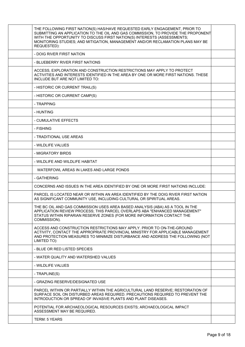| THE FOLLOWING FIRST NATION(S) HAS/HAVE REQUESTED EARLY ENGAGEMENT, PRIOR TO<br>SUBMITTING AN APPLICATION TO THE OIL AND GAS COMMISSION, TO PROVIDE THE PROPONENT<br>WITH THE OPPORTUNITY TO DISCUSS FIRST NATION(S) INTERESTS (ASSESSMENTS;<br>MONITORING STUDIES; AND MITIGATION, MANAGEMENT AND/OR RECLAMATION PLANS MAY BE<br>REQUESTED): |  |
|----------------------------------------------------------------------------------------------------------------------------------------------------------------------------------------------------------------------------------------------------------------------------------------------------------------------------------------------|--|
| - DOIG RIVER FIRST NATION                                                                                                                                                                                                                                                                                                                    |  |
| - BLUEBERRY RIVER FIRST NATIONS                                                                                                                                                                                                                                                                                                              |  |
| ACCESS, EXPLORATION AND CONSTRUCTION RESTRICTIONS MAY APPLY TO PROTECT<br>ACTIVITIES AND INTERESTS IDENTIFIED IN THE AREA BY ONE OR MORE FIRST NATIONS. THESE<br>INCLUDE BUT ARE NOT LIMITED TO:                                                                                                                                             |  |
| - HISTORIC OR CURRENT TRAIL(S)                                                                                                                                                                                                                                                                                                               |  |
| - HISTORIC OR CURRENT CAMP(S)                                                                                                                                                                                                                                                                                                                |  |
| - TRAPPING                                                                                                                                                                                                                                                                                                                                   |  |
| - HUNTING                                                                                                                                                                                                                                                                                                                                    |  |
| - CUMULATIVE EFFECTS                                                                                                                                                                                                                                                                                                                         |  |
| - FISHING                                                                                                                                                                                                                                                                                                                                    |  |
| - TRADITIONAL USE AREAS                                                                                                                                                                                                                                                                                                                      |  |
| - WILDLIFE VALUES                                                                                                                                                                                                                                                                                                                            |  |
| - MIGRATORY BIRDS                                                                                                                                                                                                                                                                                                                            |  |
| - WILDLIFE AND WILDLIFE HABITAT                                                                                                                                                                                                                                                                                                              |  |
| WATERFOWL AREAS IN LAKES AND LARGE PONDS                                                                                                                                                                                                                                                                                                     |  |
| - GATHERING                                                                                                                                                                                                                                                                                                                                  |  |
| CONCERNS AND ISSUES IN THE AREA IDENTIFIED BY ONE OR MORE FIRST NATIONS INCLUDE:                                                                                                                                                                                                                                                             |  |
| PARCEL IS LOCATED NEAR OR WITHIN AN AREA IDENTIFIED BY THE DOIG RIVER FIRST NATION<br>AS SIGNIFICANT COMMUNITY USE, INCLUDING CULTURAL OR SPIRITUAL AREAS.                                                                                                                                                                                   |  |
| THE BC OIL AND GAS COMMISSION USES AREA BASED ANALYSIS (ABA) AS A TOOL IN THE<br>APPLICATION REVIEW PROCESS; THIS PARCEL OVERLAPS ABA "ENHANCED MANAGEMENT"<br>STATUS WITHIN RIPARIAN RESERVE ZONES (FOR MORE INFORMATION CONTACT THE<br>COMMISSION).                                                                                        |  |
| ACCESS AND CONSTRUCTION RESTRICTIONS MAY APPLY. PRIOR TO ON-THE-GROUND<br>ACTIVITY, CONTACT THE APPROPRIATE PROVINCIAL MINISTRY FOR APPLICABLE MANAGEMENT<br>AND PROTECTION MEASURES TO MINIMIZE DISTURBANCE AND ADDRESS THE FOLLOWING (NOT<br>LIMITED TO):                                                                                  |  |
| - BLUE OR RED LISTED SPECIES                                                                                                                                                                                                                                                                                                                 |  |
| - WATER QUALITY AND WATERSHED VALUES                                                                                                                                                                                                                                                                                                         |  |
| - WILDLIFE VALUES                                                                                                                                                                                                                                                                                                                            |  |
| - TRAPLINE(S)                                                                                                                                                                                                                                                                                                                                |  |
| - GRAZING RESERVE/DESIGNATED USE                                                                                                                                                                                                                                                                                                             |  |
| PARCEL WITHIN OR PARTIALLY WITHIN THE AGRICULTURAL LAND RESERVE; RESTORATION OF<br>SURFACE SOIL ON DISTURBED AREAS REQUIRED. PRECAUTIONS REQUIRED TO PREVENT THE<br>INTRODUCTION OR SPREAD OF INVASIVE PLANTS AND PLANT DISEASES.                                                                                                            |  |
| POTENTIAL FOR ARCHAEOLOGICAL RESOURCES EXISTS; ARCHAEOLOGICAL IMPACT<br>ASSESSMENT MAY BE REQUIRED.                                                                                                                                                                                                                                          |  |
| <b>TERM: 5 YEARS</b>                                                                                                                                                                                                                                                                                                                         |  |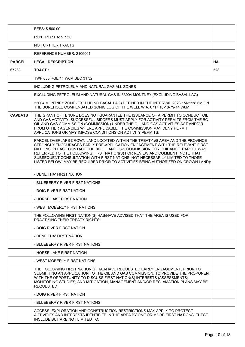|                | FEES: \$500.00                                                                                                                                                                                                                                                                                                                                                                                                                                                                                       |           |
|----------------|------------------------------------------------------------------------------------------------------------------------------------------------------------------------------------------------------------------------------------------------------------------------------------------------------------------------------------------------------------------------------------------------------------------------------------------------------------------------------------------------------|-----------|
|                | <b>RENT PER HA: \$7.50</b>                                                                                                                                                                                                                                                                                                                                                                                                                                                                           |           |
|                | NO FURTHER TRACTS                                                                                                                                                                                                                                                                                                                                                                                                                                                                                    |           |
|                | REFERENCE NUMBER: 2106001                                                                                                                                                                                                                                                                                                                                                                                                                                                                            |           |
| <b>PARCEL</b>  | <b>LEGAL DESCRIPTION</b>                                                                                                                                                                                                                                                                                                                                                                                                                                                                             | <b>HA</b> |
| 67233          | <b>TRACT 1</b>                                                                                                                                                                                                                                                                                                                                                                                                                                                                                       | 528       |
|                | TWP 083 RGE 14 W6M SEC 31 32                                                                                                                                                                                                                                                                                                                                                                                                                                                                         |           |
|                | INCLUDING PETROLEUM AND NATURAL GAS ALL ZONES                                                                                                                                                                                                                                                                                                                                                                                                                                                        |           |
|                | EXCLUDING PETROLEUM AND NATURAL GAS IN 33004 MONTNEY (EXCLUDING BASAL LAG)                                                                                                                                                                                                                                                                                                                                                                                                                           |           |
|                | 33004 MONTNEY ZONE (EXCLUDING BASAL LAG) DEFINED IN THE INTERVAL 2028.1M-2338.6M ON<br>THE BOREHOLE COMPENSATED SONIC LOG OF THE WELL W.A. 6717 10-18-79-14 W6M                                                                                                                                                                                                                                                                                                                                      |           |
| <b>CAVEATS</b> | THE GRANT OF TENURE DOES NOT GUARANTEE THE ISSUANCE OF A PERMIT TO CONDUCT OIL<br>AND GAS ACTIVITY. SUCCESSFUL BIDDERS MUST APPLY FOR ACTIVITY PERMITS FROM THE BC<br>OIL AND GAS COMMISSION (COMMISSION) UNDER THE OIL AND GAS ACTIVITIES ACT AND/OR<br>FROM OTHER AGENCIES WHERE APPLICABLE. THE COMMISSION MAY DENY PERMIT<br>APPLICATIONS OR MAY IMPOSE CONDITIONS ON ACTIVITY PERMITS.                                                                                                          |           |
|                | PARCEL OVERLAPS CROWN LAND LOCATED WITHIN THE TREATY #8 AREA AND THE PROVINCE<br>STRONGLY ENCOURAGES EARLY PRE-APPLICATION ENGAGEMENT WITH THE RELEVANT FIRST<br>NATIONS; PLEASE CONTACT THE BC OIL AND GAS COMMISSION FOR GUIDANCE. PARCEL WAS<br>REFERRED TO THE FOLLOWING FIRST NATION(S) FOR REVIEW AND COMMENT (NOTE THAT<br>SUBSEQUENT CONSULTATION WITH FIRST NATIONS, NOT NECESSARILY LIMITED TO THOSE<br>LISTED BELOW, MAY BE REQUIRED PRIOR TO ACTIVITIES BEING AUTHORIZED ON CROWN LAND): |           |
|                | - DENE THA' FIRST NATION                                                                                                                                                                                                                                                                                                                                                                                                                                                                             |           |
|                | - BLUEBERRY RIVER FIRST NATIONS                                                                                                                                                                                                                                                                                                                                                                                                                                                                      |           |
|                | - DOIG RIVER FIRST NATION                                                                                                                                                                                                                                                                                                                                                                                                                                                                            |           |
|                | - HORSE LAKE FIRST NATION                                                                                                                                                                                                                                                                                                                                                                                                                                                                            |           |
|                | - WEST MOBERLY FIRST NATIONS                                                                                                                                                                                                                                                                                                                                                                                                                                                                         |           |
|                | THE FOLLOWING FIRST NATION(S) HAS/HAVE ADVISED THAT THE AREA IS USED FOR<br>PRACTISING THEIR TREATY RIGHTS:                                                                                                                                                                                                                                                                                                                                                                                          |           |
|                | - DOIG RIVER FIRST NATION                                                                                                                                                                                                                                                                                                                                                                                                                                                                            |           |
|                | - DENE THA' FIRST NATION                                                                                                                                                                                                                                                                                                                                                                                                                                                                             |           |
|                | - BLUEBERRY RIVER FIRST NATIONS                                                                                                                                                                                                                                                                                                                                                                                                                                                                      |           |
|                | - HORSE LAKE FIRST NATION                                                                                                                                                                                                                                                                                                                                                                                                                                                                            |           |
|                | - WEST MOBERLY FIRST NATIONS                                                                                                                                                                                                                                                                                                                                                                                                                                                                         |           |
|                | THE FOLLOWING FIRST NATION(S) HAS/HAVE REQUESTED EARLY ENGAGEMENT, PRIOR TO<br>SUBMITTING AN APPLICATION TO THE OIL AND GAS COMMISSION, TO PROVIDE THE PROPONENT<br>WITH THE OPPORTUNITY TO DISCUSS FIRST NATION(S) INTERESTS (ASSESSMENTS;<br>MONITORING STUDIES; AND MITIGATION, MANAGEMENT AND/OR RECLAMATION PLANS MAY BE<br>REQUESTED):                                                                                                                                                         |           |
|                | - DOIG RIVER FIRST NATION                                                                                                                                                                                                                                                                                                                                                                                                                                                                            |           |
|                | - BLUEBERRY RIVER FIRST NATIONS                                                                                                                                                                                                                                                                                                                                                                                                                                                                      |           |
|                | ACCESS, EXPLORATION AND CONSTRUCTION RESTRICTIONS MAY APPLY TO PROTECT<br>ACTIVITIES AND INTERESTS IDENTIFIED IN THE AREA BY ONE OR MORE FIRST NATIONS. THESE<br>INCLUDE BUT ARE NOT LIMITED TO:                                                                                                                                                                                                                                                                                                     |           |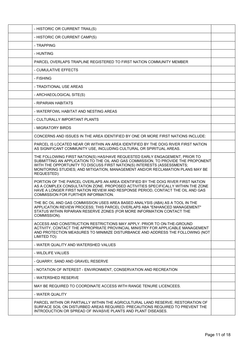| - HISTORIC OR CURRENT TRAIL(S)                                                                                                                                                                                                                                                                                                               |  |
|----------------------------------------------------------------------------------------------------------------------------------------------------------------------------------------------------------------------------------------------------------------------------------------------------------------------------------------------|--|
| - HISTORIC OR CURRENT CAMP(S)                                                                                                                                                                                                                                                                                                                |  |
| - TRAPPING                                                                                                                                                                                                                                                                                                                                   |  |
| - HUNTING                                                                                                                                                                                                                                                                                                                                    |  |
| PARCEL OVERLAPS TRAPLINE REGISTERED TO FIRST NATION COMMUNITY MEMBER                                                                                                                                                                                                                                                                         |  |
| - CUMULATIVE EFFECTS                                                                                                                                                                                                                                                                                                                         |  |
| - FISHING                                                                                                                                                                                                                                                                                                                                    |  |
| - TRADITIONAL USE AREAS                                                                                                                                                                                                                                                                                                                      |  |
| - ARCHAEOLOGICAL SITE(S)                                                                                                                                                                                                                                                                                                                     |  |
| - RIPARIAN HABITATS                                                                                                                                                                                                                                                                                                                          |  |
| - WATERFOWL HABITAT AND NESTING AREAS                                                                                                                                                                                                                                                                                                        |  |
| - CULTURALLY IMPORTANT PLANTS                                                                                                                                                                                                                                                                                                                |  |
| - MIGRATORY BIRDS                                                                                                                                                                                                                                                                                                                            |  |
| CONCERNS AND ISSUES IN THE AREA IDENTIFIED BY ONE OR MORE FIRST NATIONS INCLUDE:                                                                                                                                                                                                                                                             |  |
| PARCEL IS LOCATED NEAR OR WITHIN AN AREA IDENTIFIED BY THE DOIG RIVER FIRST NATION<br>AS SIGNIFICANT COMMUNITY USE, INCLUDING CULTURAL OR SPIRITUAL AREAS.                                                                                                                                                                                   |  |
| THE FOLLOWING FIRST NATION(S) HAS/HAVE REQUESTED EARLY ENGAGEMENT, PRIOR TO<br>SUBMITTING AN APPLICATION TO THE OIL AND GAS COMMISSION, TO PROVIDE THE PROPONENT<br>WITH THE OPPORTUNITY TO DISCUSS FIRST NATION(S) INTERESTS (ASSESSMENTS;<br>MONITORING STUDIES; AND MITIGATION, MANAGEMENT AND/OR RECLAMATION PLANS MAY BE<br>REQUESTED): |  |
| PORTION OF THE PARCEL OVERLAPS AN AREA IDENTIFIED BY THE DOIG RIVER FIRST NATION<br>AS A COMPLEX CONSULTATION ZONE. PROPOSED ACTIVITIES SPECIFICALLY WITHIN THE ZONE<br>HAVE A LONGER FIRST NATION REVIEW AND RESPONSE PERIOD, CONTACT THE OIL AND GAS<br><b>COMMISSION FOR FURTHER INFORMATION.</b>                                         |  |
| THE BC OIL AND GAS COMMISSION USES AREA BASED ANALYSIS (ABA) AS A TOOL IN THE<br>APPLICATION REVIEW PROCESS; THIS PARCEL OVERLAPS ABA "ENHANCED MANAGEMENT"<br>STATUS WITHIN RIPARIAN RESERVE ZONES (FOR MORE INFORMATION CONTACT THE<br>COMMISSION).                                                                                        |  |
| ACCESS AND CONSTRUCTION RESTRICTIONS MAY APPLY. PRIOR TO ON-THE-GROUND<br>ACTIVITY, CONTACT THE APPROPRIATE PROVINCIAL MINISTRY FOR APPLICABLE MANAGEMENT<br>AND PROTECTION MEASURES TO MINIMIZE DISTURBANCE AND ADDRESS THE FOLLOWING (NOT<br>LIMITED TO):                                                                                  |  |
| - WATER QUALITY AND WATERSHED VALUES                                                                                                                                                                                                                                                                                                         |  |
| - WILDLIFE VALUES                                                                                                                                                                                                                                                                                                                            |  |
| - QUARRY, SAND AND GRAVEL RESERVE                                                                                                                                                                                                                                                                                                            |  |
| - NOTATION OF INTEREST - ENVIRONMENT, CONSERVATION AND RECREATION                                                                                                                                                                                                                                                                            |  |
| - WATERSHED RESERVE                                                                                                                                                                                                                                                                                                                          |  |
| MAY BE REQUIRED TO COORDINATE ACCESS WITH RANGE TENURE LICENCEES.                                                                                                                                                                                                                                                                            |  |
| - WATER QUALITY                                                                                                                                                                                                                                                                                                                              |  |
| PARCEL WITHIN OR PARTIALLY WITHIN THE AGRICULTURAL LAND RESERVE; RESTORATION OF<br>SURFACE SOIL ON DISTURBED AREAS REQUIRED. PRECAUTIONS REQUIRED TO PREVENT THE<br>INTRODUCTION OR SPREAD OF INVASIVE PLANTS AND PLANT DISEASES.                                                                                                            |  |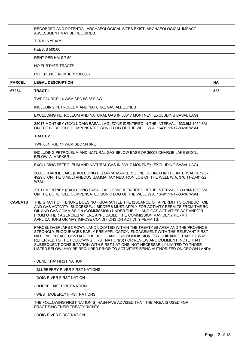|                | RECORDED AND POTENTIAL ARCHAEOLOGICAL SITES EXIST; ARCHAEOLOGICAL IMPACT<br>ASSESSMENT MAY BE REQUIRED.                                                                                                                                                                                                                                                                                                                                                                                              |           |
|----------------|------------------------------------------------------------------------------------------------------------------------------------------------------------------------------------------------------------------------------------------------------------------------------------------------------------------------------------------------------------------------------------------------------------------------------------------------------------------------------------------------------|-----------|
|                | <b>TERM: 5 YEARS</b>                                                                                                                                                                                                                                                                                                                                                                                                                                                                                 |           |
|                | FEES: \$500.00                                                                                                                                                                                                                                                                                                                                                                                                                                                                                       |           |
|                | <b>RENT PER HA: \$7.50</b>                                                                                                                                                                                                                                                                                                                                                                                                                                                                           |           |
|                | NO FURTHER TRACTS                                                                                                                                                                                                                                                                                                                                                                                                                                                                                    |           |
|                | REFERENCE NUMBER: 2106002                                                                                                                                                                                                                                                                                                                                                                                                                                                                            |           |
| <b>PARCEL</b>  | <b>LEGAL DESCRIPTION</b>                                                                                                                                                                                                                                                                                                                                                                                                                                                                             | <b>HA</b> |
| 67234          | <b>TRACT1</b>                                                                                                                                                                                                                                                                                                                                                                                                                                                                                        | 528       |
|                | TWP 084 RGE 14 W6M SEC 5S 6SE 6W                                                                                                                                                                                                                                                                                                                                                                                                                                                                     |           |
|                | INCLUDING PETROLEUM AND NATURAL GAS ALL ZONES                                                                                                                                                                                                                                                                                                                                                                                                                                                        |           |
|                | EXCLUDING PETROLEUM AND NATURAL GAS IN 33017 MONTNEY (EXCLUDING BASAL LAG)                                                                                                                                                                                                                                                                                                                                                                                                                           |           |
|                | 33017 MONTNEY (EXCLUDING BASAL LAG) ZONE IDENTIFIED IN THE INTERVAL 1633.9M-1950.8M<br>ON THE BOREHOLE COMPENSATED SONIC LOG OF THE WELL W.A. 16491 11-17-83-16 W6M                                                                                                                                                                                                                                                                                                                                  |           |
|                | <b>TRACT 2</b>                                                                                                                                                                                                                                                                                                                                                                                                                                                                                       |           |
|                | TWP 084 RGE 14 W6M SEC 5N 6NE                                                                                                                                                                                                                                                                                                                                                                                                                                                                        |           |
|                | INCLUDING PETROLEUM AND NATURAL GAS BELOW BASE OF 36003 CHARLIE LAKE (EXCL.<br><b>BELOW 'A' MARKER)</b>                                                                                                                                                                                                                                                                                                                                                                                              |           |
|                | EXCLUDING PETROLEUM AND NATURAL GAS IN 33017 MONTNEY (EXCLUDING BASAL LAG)                                                                                                                                                                                                                                                                                                                                                                                                                           |           |
|                | 36003 CHARLIE LAKE (EXCLUDING BELOW 'A' MARKER) ZONE DEFINED IN THE INTERVAL 3879.6'-<br>4929.8' ON THE SIMULTANEOUS GAMMA RAY NEUTRON LOG OF THE WELL W.A. 376 11-23-81-22<br>W6M                                                                                                                                                                                                                                                                                                                   |           |
|                | 33017 MONTNEY (EXCLUDING BASAL LAG) ZONE IDENTIFIED IN THE INTERVAL 1633.9M-1950.8M<br>ON THE BOREHOLE COMPENSATED SONIC LOG OF THE WELL W.A. 16491 11-17-83-16 W6M                                                                                                                                                                                                                                                                                                                                  |           |
| <b>CAVEATS</b> | THE GRANT OF TENURE DOES NOT GUARANTEE THE ISSUANCE OF A PERMIT TO CONDUCT OIL<br>AND GAS ACTIVITY. SUCCESSFUL BIDDERS MUST APPLY FOR ACTIVITY PERMITS FROM THE BC<br>OIL AND GAS COMMISSION (COMMISSION) UNDER THE OIL AND GAS ACTIVITIES ACT AND/OR<br>FROM OTHER AGENCIES WHERE APPLICABLE. THE COMMISSION MAY DENY PERMIT<br>APPLICATIONS OR MAY IMPOSE CONDITIONS ON ACTIVITY PERMITS.                                                                                                          |           |
|                | PARCEL OVERLAPS CROWN LAND LOCATED WITHIN THE TREATY #8 AREA AND THE PROVINCE<br>STRONGLY ENCOURAGES EARLY PRE-APPLICATION ENGAGEMENT WITH THE RELEVANT FIRST<br>NATIONS; PLEASE CONTACT THE BC OIL AND GAS COMMISSION FOR GUIDANCE. PARCEL WAS<br>REFERRED TO THE FOLLOWING FIRST NATION(S) FOR REVIEW AND COMMENT (NOTE THAT<br>SUBSEQUENT CONSULTATION WITH FIRST NATIONS, NOT NECESSARILY LIMITED TO THOSE<br>LISTED BELOW, MAY BE REQUIRED PRIOR TO ACTIVITIES BEING AUTHORIZED ON CROWN LAND): |           |
|                | - DENE THA' FIRST NATION                                                                                                                                                                                                                                                                                                                                                                                                                                                                             |           |
|                | - BLUEBERRY RIVER FIRST NATIONS                                                                                                                                                                                                                                                                                                                                                                                                                                                                      |           |
|                | - DOIG RIVER FIRST NATION                                                                                                                                                                                                                                                                                                                                                                                                                                                                            |           |
|                | - HORSE LAKE FIRST NATION                                                                                                                                                                                                                                                                                                                                                                                                                                                                            |           |
|                |                                                                                                                                                                                                                                                                                                                                                                                                                                                                                                      |           |
|                | - WEST MOBERLY FIRST NATIONS                                                                                                                                                                                                                                                                                                                                                                                                                                                                         |           |
|                | THE FOLLOWING FIRST NATION(S) HAS/HAVE ADVISED THAT THE AREA IS USED FOR<br>PRACTISING THEIR TREATY RIGHTS:                                                                                                                                                                                                                                                                                                                                                                                          |           |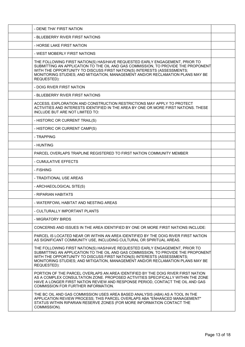| - DENE THA' FIRST NATION                                                                                                                                                                                                                                                                                                                     |  |
|----------------------------------------------------------------------------------------------------------------------------------------------------------------------------------------------------------------------------------------------------------------------------------------------------------------------------------------------|--|
| - BLUEBERRY RIVER FIRST NATIONS                                                                                                                                                                                                                                                                                                              |  |
| - HORSE LAKE FIRST NATION                                                                                                                                                                                                                                                                                                                    |  |
| - WEST MOBERLY FIRST NATIONS                                                                                                                                                                                                                                                                                                                 |  |
| THE FOLLOWING FIRST NATION(S) HAS/HAVE REQUESTED EARLY ENGAGEMENT, PRIOR TO<br>SUBMITTING AN APPLICATION TO THE OIL AND GAS COMMISSION, TO PROVIDE THE PROPONENT<br>WITH THE OPPORTUNITY TO DISCUSS FIRST NATION(S) INTERESTS (ASSESSMENTS;<br>MONITORING STUDIES; AND MITIGATION, MANAGEMENT AND/OR RECLAMATION PLANS MAY BE<br>REQUESTED): |  |
| - DOIG RIVER FIRST NATION                                                                                                                                                                                                                                                                                                                    |  |
| - BLUEBERRY RIVER FIRST NATIONS                                                                                                                                                                                                                                                                                                              |  |
| ACCESS, EXPLORATION AND CONSTRUCTION RESTRICTIONS MAY APPLY TO PROTECT<br>ACTIVITIES AND INTERESTS IDENTIFIED IN THE AREA BY ONE OR MORE FIRST NATIONS. THESE<br>INCLUDE BUT ARE NOT LIMITED TO:                                                                                                                                             |  |
| - HISTORIC OR CURRENT TRAIL(S)                                                                                                                                                                                                                                                                                                               |  |
| - HISTORIC OR CURRENT CAMP(S)                                                                                                                                                                                                                                                                                                                |  |
| - TRAPPING                                                                                                                                                                                                                                                                                                                                   |  |
| - HUNTING                                                                                                                                                                                                                                                                                                                                    |  |
| PARCEL OVERLAPS TRAPLINE REGISTERED TO FIRST NATION COMMUNITY MEMBER                                                                                                                                                                                                                                                                         |  |
| - CUMULATIVE EFFECTS                                                                                                                                                                                                                                                                                                                         |  |
| - FISHING                                                                                                                                                                                                                                                                                                                                    |  |
| - TRADITIONAL USE AREAS                                                                                                                                                                                                                                                                                                                      |  |
| - ARCHAEOLOGICAL SITE(S)                                                                                                                                                                                                                                                                                                                     |  |
| - RIPARIAN HABITATS                                                                                                                                                                                                                                                                                                                          |  |
| - WATERFOWL HABITAT AND NESTING AREAS                                                                                                                                                                                                                                                                                                        |  |
| - CULTURALLY IMPORTANT PLANTS                                                                                                                                                                                                                                                                                                                |  |
| - MIGRATORY BIRDS                                                                                                                                                                                                                                                                                                                            |  |
| CONCERNS AND ISSUES IN THE AREA IDENTIFIED BY ONE OR MORE FIRST NATIONS INCLUDE:                                                                                                                                                                                                                                                             |  |
| PARCEL IS LOCATED NEAR OR WITHIN AN AREA IDENTIFIED BY THE DOIG RIVER FIRST NATION<br>AS SIGNIFICANT COMMUNITY USE, INCLUDING CULTURAL OR SPIRITUAL AREAS.                                                                                                                                                                                   |  |
| THE FOLLOWING FIRST NATION(S) HAS/HAVE REQUESTED EARLY ENGAGEMENT, PRIOR TO<br>SUBMITTING AN APPLICATION TO THE OIL AND GAS COMMISSION, TO PROVIDE THE PROPONENT<br>WITH THE OPPORTUNITY TO DISCUSS FIRST NATION(S) INTERESTS (ASSESSMENTS;<br>MONITORING STUDIES; AND MITIGATION, MANAGEMENT AND/OR RECLAMATION PLANS MAY BE<br>REQUESTED): |  |
| PORTION OF THE PARCEL OVERLAPS AN AREA IDENTIFIED BY THE DOIG RIVER FIRST NATION<br>AS A COMPLEX CONSULTATION ZONE. PROPOSED ACTIVITIES SPECIFICALLY WITHIN THE ZONE<br>HAVE A LONGER FIRST NATION REVIEW AND RESPONSE PERIOD, CONTACT THE OIL AND GAS<br>COMMISSION FOR FURTHER INFORMATION.                                                |  |
| THE BC OIL AND GAS COMMISSION USES AREA BASED ANALYSIS (ABA) AS A TOOL IN THE<br>APPLICATION REVIEW PROCESS; THIS PARCEL OVERLAPS ABA "ENHANCED MANAGEMENT"<br>STATUS WITHIN RIPARIAN RESERVE ZONES (FOR MORE INFORMATION CONTACT THE<br>COMMISSION).                                                                                        |  |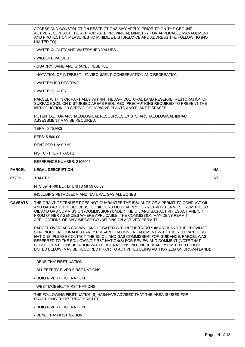|                | ACCESS AND CONSTRUCTION RESTRICTIONS MAY APPLY. PRIOR TO ON-THE-GROUND<br>ACTIVITY, CONTACT THE APPROPRIATE PROVINCIAL MINISTRY FOR APPLICABLE MANAGEMENT<br>AND PROTECTION MEASURES TO MINIMIZE DISTURBANCE AND ADDRESS THE FOLLOWING (NOT<br>LIMITED TO):                                                                                                                                                                                                                                          |           |
|----------------|------------------------------------------------------------------------------------------------------------------------------------------------------------------------------------------------------------------------------------------------------------------------------------------------------------------------------------------------------------------------------------------------------------------------------------------------------------------------------------------------------|-----------|
|                | - WATER QUALITY AND WATERSHED VALUES                                                                                                                                                                                                                                                                                                                                                                                                                                                                 |           |
|                | - WILDLIFE VALUES                                                                                                                                                                                                                                                                                                                                                                                                                                                                                    |           |
|                | - QUARRY, SAND AND GRAVEL RESERVE                                                                                                                                                                                                                                                                                                                                                                                                                                                                    |           |
|                | - NOTATION OF INTEREST - ENVIRONMENT, CONSERVATION AND RECREATION                                                                                                                                                                                                                                                                                                                                                                                                                                    |           |
|                | - WATERSHED RESERVE                                                                                                                                                                                                                                                                                                                                                                                                                                                                                  |           |
|                | - WATER QUALITY                                                                                                                                                                                                                                                                                                                                                                                                                                                                                      |           |
|                | PARCEL WITHIN OR PARTIALLY WITHIN THE AGRICULTURAL LAND RESERVE; RESTORATION OF<br>SURFACE SOIL ON DISTURBED AREAS REQUIRED. PRECAUTIONS REQUIRED TO PREVENT THE<br>INTRODUCTION OR SPREAD OF INVASIVE PLANTS AND PLANT DISEASES.                                                                                                                                                                                                                                                                    |           |
|                | POTENTIAL FOR ARCHAEOLOGICAL RESOURCES EXISTS; ARCHAEOLOGICAL IMPACT<br>ASSESSMENT MAY BE REQUIRED.                                                                                                                                                                                                                                                                                                                                                                                                  |           |
|                | TERM: 5 YEARS                                                                                                                                                                                                                                                                                                                                                                                                                                                                                        |           |
|                | FEES: \$500.00                                                                                                                                                                                                                                                                                                                                                                                                                                                                                       |           |
|                | <b>RENT PER HA: \$7.50</b>                                                                                                                                                                                                                                                                                                                                                                                                                                                                           |           |
|                | NO FURTHER TRACTS                                                                                                                                                                                                                                                                                                                                                                                                                                                                                    |           |
|                | REFERENCE NUMBER: 2106003                                                                                                                                                                                                                                                                                                                                                                                                                                                                            |           |
|                |                                                                                                                                                                                                                                                                                                                                                                                                                                                                                                      |           |
| <b>PARCEL</b>  | <b>LEGAL DESCRIPTION</b>                                                                                                                                                                                                                                                                                                                                                                                                                                                                             | <b>HA</b> |
| 67235          | <b>TRACT1</b>                                                                                                                                                                                                                                                                                                                                                                                                                                                                                        | 280       |
|                | NTS 094-H-06 BLK D UNITS 58 59 68 69                                                                                                                                                                                                                                                                                                                                                                                                                                                                 |           |
|                | INCLUDING PETROLEUM AND NATURAL GAS ALL ZONES                                                                                                                                                                                                                                                                                                                                                                                                                                                        |           |
| <b>CAVEATS</b> | THE GRANT OF TENURE DOES NOT GUARANTEE THE ISSUANCE OF A PERMIT TO CONDUCT OIL<br>AND GAS ACTIVITY. SUCCESSFUL BIDDERS MUST APPLY FOR ACTIVITY PERMITS FROM THE BC<br>OIL AND GAS COMMISSION (COMMISSION) UNDER THE OIL AND GAS ACTIVITIES ACT AND/OR<br>FROM OTHER AGENCIES WHERE APPLICABLE. THE COMMISSION MAY DENY PERMIT<br>APPLICATIONS OR MAY IMPOSE CONDITIONS ON ACTIVITY PERMITS.                                                                                                          |           |
|                | PARCEL OVERLAPS CROWN LAND LOCATED WITHIN THE TREATY #8 AREA AND THE PROVINCE<br>STRONGLY ENCOURAGES EARLY PRE-APPLICATION ENGAGEMENT WITH THE RELEVANT FIRST<br>NATIONS; PLEASE CONTACT THE BC OIL AND GAS COMMISSION FOR GUIDANCE. PARCEL WAS<br>REFERRED TO THE FOLLOWING FIRST NATION(S) FOR REVIEW AND COMMENT (NOTE THAT<br>SUBSEQUENT CONSULTATION WITH FIRST NATIONS, NOT NECESSARILY LIMITED TO THOSE<br>LISTED BELOW, MAY BE REQUIRED PRIOR TO ACTIVITIES BEING AUTHORIZED ON CROWN LAND): |           |
|                | - DENE THA' FIRST NATION                                                                                                                                                                                                                                                                                                                                                                                                                                                                             |           |
|                | - BLUEBERRY RIVER FIRST NATIONS                                                                                                                                                                                                                                                                                                                                                                                                                                                                      |           |
|                | - DOIG RIVER FIRST NATION                                                                                                                                                                                                                                                                                                                                                                                                                                                                            |           |
|                | - WEST MOBERLY FIRST NATIONS                                                                                                                                                                                                                                                                                                                                                                                                                                                                         |           |
|                | THE FOLLOWING FIRST NATION(S) HAS/HAVE ADVISED THAT THE AREA IS USED FOR<br><b>PRACTISING THEIR TREATY RIGHTS:</b>                                                                                                                                                                                                                                                                                                                                                                                   |           |
|                | - DOIG RIVER FIRST NATION                                                                                                                                                                                                                                                                                                                                                                                                                                                                            |           |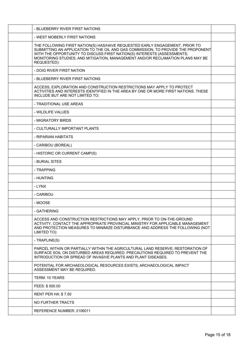| - BLUEBERRY RIVER FIRST NATIONS                                                                                                                                                                                                                                                                                                              |  |
|----------------------------------------------------------------------------------------------------------------------------------------------------------------------------------------------------------------------------------------------------------------------------------------------------------------------------------------------|--|
| - WEST MOBERLY FIRST NATIONS                                                                                                                                                                                                                                                                                                                 |  |
| THE FOLLOWING FIRST NATION(S) HAS/HAVE REQUESTED EARLY ENGAGEMENT, PRIOR TO<br>SUBMITTING AN APPLICATION TO THE OIL AND GAS COMMISSION, TO PROVIDE THE PROPONENT<br>WITH THE OPPORTUNITY TO DISCUSS FIRST NATION(S) INTERESTS (ASSESSMENTS;<br>MONITORING STUDIES; AND MITIGATION, MANAGEMENT AND/OR RECLAMATION PLANS MAY BE<br>REQUESTED): |  |
| - DOIG RIVER FIRST NATION                                                                                                                                                                                                                                                                                                                    |  |
| - BLUEBERRY RIVER FIRST NATIONS                                                                                                                                                                                                                                                                                                              |  |
| ACCESS, EXPLORATION AND CONSTRUCTION RESTRICTIONS MAY APPLY TO PROTECT<br>ACTIVITIES AND INTERESTS IDENTIFIED IN THE AREA BY ONE OR MORE FIRST NATIONS. THESE<br>INCLUDE BUT ARE NOT LIMITED TO:                                                                                                                                             |  |
| - TRADITIONAL USE AREAS                                                                                                                                                                                                                                                                                                                      |  |
| - WILDLIFE VALUES                                                                                                                                                                                                                                                                                                                            |  |
| - MIGRATORY BIRDS                                                                                                                                                                                                                                                                                                                            |  |
| - CULTURALLY IMPORTANT PLANTS                                                                                                                                                                                                                                                                                                                |  |
| - RIPARIAN HABITATS                                                                                                                                                                                                                                                                                                                          |  |
| - CARIBOU (BOREAL)                                                                                                                                                                                                                                                                                                                           |  |
| - HISTORIC OR CURRENT CAMP(S)                                                                                                                                                                                                                                                                                                                |  |
| - BURIAL SITES                                                                                                                                                                                                                                                                                                                               |  |
| - TRAPPING                                                                                                                                                                                                                                                                                                                                   |  |
| - HUNTING                                                                                                                                                                                                                                                                                                                                    |  |
| - LYNX                                                                                                                                                                                                                                                                                                                                       |  |
| - CARIBOU                                                                                                                                                                                                                                                                                                                                    |  |
| - MOOSE                                                                                                                                                                                                                                                                                                                                      |  |
| - GATHERING                                                                                                                                                                                                                                                                                                                                  |  |
| ACCESS AND CONSTRUCTION RESTRICTIONS MAY APPLY. PRIOR TO ON-THE-GROUND<br>ACTIVITY, CONTACT THE APPROPRIATE PROVINCIAL MINISTRY FOR APPLICABLE MANAGEMENT<br>AND PROTECTION MEASURES TO MINIMIZE DISTURBANCE AND ADDRESS THE FOLLOWING (NOT<br>LIMITED TO):                                                                                  |  |
| - TRAPLINE(S)                                                                                                                                                                                                                                                                                                                                |  |
| PARCEL WITHIN OR PARTIALLY WITHIN THE AGRICULTURAL LAND RESERVE; RESTORATION OF<br>SURFACE SOIL ON DISTURBED AREAS REQUIRED. PRECAUTIONS REQUIRED TO PREVENT THE<br>INTRODUCTION OR SPREAD OF INVASIVE PLANTS AND PLANT DISEASES.                                                                                                            |  |
| POTENTIAL FOR ARCHAEOLOGICAL RESOURCES EXISTS; ARCHAEOLOGICAL IMPACT<br>ASSESSMENT MAY BE REQUIRED.                                                                                                                                                                                                                                          |  |
| TERM: 10 YEARS                                                                                                                                                                                                                                                                                                                               |  |
| FEES: \$500.00                                                                                                                                                                                                                                                                                                                               |  |
| <b>RENT PER HA: \$7.50</b>                                                                                                                                                                                                                                                                                                                   |  |
| NO FURTHER TRACTS                                                                                                                                                                                                                                                                                                                            |  |
| REFERENCE NUMBER: 2106011                                                                                                                                                                                                                                                                                                                    |  |
|                                                                                                                                                                                                                                                                                                                                              |  |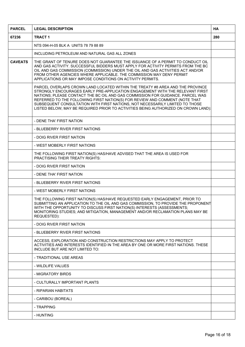| <b>PARCEL</b>  | <b>LEGAL DESCRIPTION</b>                                                                                                                                                                                                                                                                                                                                                                                                                                                                             |  |  |
|----------------|------------------------------------------------------------------------------------------------------------------------------------------------------------------------------------------------------------------------------------------------------------------------------------------------------------------------------------------------------------------------------------------------------------------------------------------------------------------------------------------------------|--|--|
| 67236          | <b>TRACT 1</b>                                                                                                                                                                                                                                                                                                                                                                                                                                                                                       |  |  |
|                | NTS 094-H-05 BLK A UNITS 78 79 88 89                                                                                                                                                                                                                                                                                                                                                                                                                                                                 |  |  |
|                | INCLUDING PETROLEUM AND NATURAL GAS ALL ZONES                                                                                                                                                                                                                                                                                                                                                                                                                                                        |  |  |
| <b>CAVEATS</b> | THE GRANT OF TENURE DOES NOT GUARANTEE THE ISSUANCE OF A PERMIT TO CONDUCT OIL<br>AND GAS ACTIVITY. SUCCESSFUL BIDDERS MUST APPLY FOR ACTIVITY PERMITS FROM THE BC<br>OIL AND GAS COMMISSION (COMMISSION) UNDER THE OIL AND GAS ACTIVITIES ACT AND/OR<br>FROM OTHER AGENCIES WHERE APPLICABLE. THE COMMISSION MAY DENY PERMIT<br>APPLICATIONS OR MAY IMPOSE CONDITIONS ON ACTIVITY PERMITS.                                                                                                          |  |  |
|                | PARCEL OVERLAPS CROWN LAND LOCATED WITHIN THE TREATY #8 AREA AND THE PROVINCE<br>STRONGLY ENCOURAGES EARLY PRE-APPLICATION ENGAGEMENT WITH THE RELEVANT FIRST<br>NATIONS; PLEASE CONTACT THE BC OIL AND GAS COMMISSION FOR GUIDANCE. PARCEL WAS<br>REFERRED TO THE FOLLOWING FIRST NATION(S) FOR REVIEW AND COMMENT (NOTE THAT<br>SUBSEQUENT CONSULTATION WITH FIRST NATIONS, NOT NECESSARILY LIMITED TO THOSE<br>LISTED BELOW, MAY BE REQUIRED PRIOR TO ACTIVITIES BEING AUTHORIZED ON CROWN LAND): |  |  |
|                | - DENE THA' FIRST NATION                                                                                                                                                                                                                                                                                                                                                                                                                                                                             |  |  |
|                | - BLUEBERRY RIVER FIRST NATIONS                                                                                                                                                                                                                                                                                                                                                                                                                                                                      |  |  |
|                | - DOIG RIVER FIRST NATION                                                                                                                                                                                                                                                                                                                                                                                                                                                                            |  |  |
|                | - WEST MOBERLY FIRST NATIONS                                                                                                                                                                                                                                                                                                                                                                                                                                                                         |  |  |
|                | THE FOLLOWING FIRST NATION(S) HAS/HAVE ADVISED THAT THE AREA IS USED FOR<br>PRACTISING THEIR TREATY RIGHTS:                                                                                                                                                                                                                                                                                                                                                                                          |  |  |
|                | - DOIG RIVER FIRST NATION                                                                                                                                                                                                                                                                                                                                                                                                                                                                            |  |  |
|                | - DENE THA' FIRST NATION                                                                                                                                                                                                                                                                                                                                                                                                                                                                             |  |  |
|                | - BLUEBERRY RIVER FIRST NATIONS                                                                                                                                                                                                                                                                                                                                                                                                                                                                      |  |  |
|                | - WEST MOBERLY FIRST NATIONS                                                                                                                                                                                                                                                                                                                                                                                                                                                                         |  |  |
|                | THE FOLLOWING FIRST NATION(S) HAS/HAVE REQUESTED EARLY ENGAGEMENT, PRIOR TO<br>SUBMITTING AN APPLICATION TO THE OIL AND GAS COMMISSION, TO PROVIDE THE PROPONENT<br>WITH THE OPPORTUNITY TO DISCUSS FIRST NATION(S) INTERESTS (ASSESSMENTS;<br>MONITORING STUDIES; AND MITIGATION, MANAGEMENT AND/OR RECLAMATION PLANS MAY BE<br>REQUESTED):                                                                                                                                                         |  |  |
|                | - DOIG RIVER FIRST NATION                                                                                                                                                                                                                                                                                                                                                                                                                                                                            |  |  |
|                | - BLUEBERRY RIVER FIRST NATIONS                                                                                                                                                                                                                                                                                                                                                                                                                                                                      |  |  |
|                | ACCESS, EXPLORATION AND CONSTRUCTION RESTRICTIONS MAY APPLY TO PROTECT<br>ACTIVITIES AND INTERESTS IDENTIFIED IN THE AREA BY ONE OR MORE FIRST NATIONS. THESE<br>INCLUDE BUT ARE NOT LIMITED TO:                                                                                                                                                                                                                                                                                                     |  |  |
|                | - TRADITIONAL USE AREAS                                                                                                                                                                                                                                                                                                                                                                                                                                                                              |  |  |
|                | - WILDLIFE VALUES                                                                                                                                                                                                                                                                                                                                                                                                                                                                                    |  |  |
|                | - MIGRATORY BIRDS                                                                                                                                                                                                                                                                                                                                                                                                                                                                                    |  |  |
|                | - CULTURALLY IMPORTANT PLANTS                                                                                                                                                                                                                                                                                                                                                                                                                                                                        |  |  |
|                | - RIPARIAN HABITATS                                                                                                                                                                                                                                                                                                                                                                                                                                                                                  |  |  |
|                | - CARIBOU (BOREAL)                                                                                                                                                                                                                                                                                                                                                                                                                                                                                   |  |  |
|                | - TRAPPING                                                                                                                                                                                                                                                                                                                                                                                                                                                                                           |  |  |
|                | - HUNTING                                                                                                                                                                                                                                                                                                                                                                                                                                                                                            |  |  |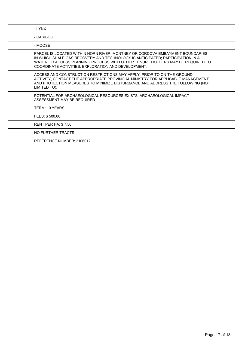| - LYNX                                                                                                                                                                                                                                                                                                |  |
|-------------------------------------------------------------------------------------------------------------------------------------------------------------------------------------------------------------------------------------------------------------------------------------------------------|--|
| - CARIBOU                                                                                                                                                                                                                                                                                             |  |
| - MOOSE                                                                                                                                                                                                                                                                                               |  |
| PARCEL IS LOCATED WITHIN HORN RIVER, MONTNEY OR CORDOVA EMBAYMENT BOUNDARIES<br>IN WHICH SHALE GAS RECOVERY AND TECHNOLOGY IS ANTICIPATED; PARTICIPATION IN A<br>WATER OR ACCESS PLANNING PROCESS WITH OTHER TENURE HOLDERS MAY BE REQUIRED TO<br>COORDINATE ACTIVITIES, EXPLORATION AND DEVELOPMENT. |  |
| ACCESS AND CONSTRUCTION RESTRICTIONS MAY APPLY. PRIOR TO ON-THE-GROUND<br>ACTIVITY, CONTACT THE APPROPRIATE PROVINCIAL MINISTRY FOR APPLICABLE MANAGEMENT<br>AND PROTECTION MEASURES TO MINIMIZE DISTURBANCE AND ADDRESS THE FOLLOWING (NOT<br>LIMITED TO):                                           |  |
| POTENTIAL FOR ARCHAEOLOGICAL RESOURCES EXISTS; ARCHAEOLOGICAL IMPACT<br>ASSESSMENT MAY BE REQUIRED.                                                                                                                                                                                                   |  |
| TERM: 10 YEARS                                                                                                                                                                                                                                                                                        |  |
| FEES: \$500.00                                                                                                                                                                                                                                                                                        |  |
| <b>RENT PER HA: \$7.50</b>                                                                                                                                                                                                                                                                            |  |
| NO FURTHER TRACTS                                                                                                                                                                                                                                                                                     |  |
| REFERENCE NUMBER: 2106012                                                                                                                                                                                                                                                                             |  |